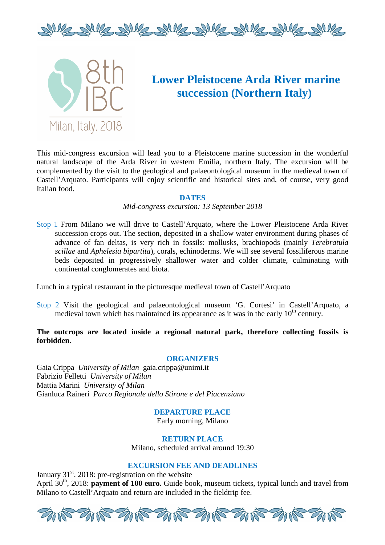



# **Lower Pleistocene Arda River marine succession (Northern Italy)**

This mid-congress excursion will lead you to a Pleistocene marine succession in the wonderful natural landscape of the Arda River in western Emilia, northern Italy. The excursion will be complemented by the visit to the geological and palaeontological museum in the medieval town of Castell'Arquato. Participants will enjoy scientific and historical sites and, of course, very good Italian food.

#### **DATES**

#### *Mid-congress excursion: 13 September 2018*

Stop 1 From Milano we will drive to Castell'Arquato, where the Lower Pleistocene Arda River succession crops out. The section, deposited in a shallow water environment during phases of advance of fan deltas, is very rich in fossils: mollusks, brachiopods (mainly *Terebratula scillae* and *Aphelesia bipartita*), corals, echinoderms. We will see several fossiliferous marine beds deposited in progressively shallower water and colder climate, culminating with continental conglomerates and biota.

Lunch in a typical restaurant in the picturesque medieval town of Castell'Arquato

Stop 2 Visit the geological and palaeontological museum 'G. Cortesi' in Castell'Arquato, a medieval town which has maintained its appearance as it was in the early  $10<sup>th</sup>$  century.

### **The outcrops are located inside a regional natural park, therefore collecting fossils is forbidden.**

#### **ORGANIZERS**

Gaia Crippa *University of Milan* gaia.crippa@unimi.it Fabrizio Felletti *University of Milan* Mattia Marini *University of Milan* Gianluca Raineri *Parco Regionale dello Stirone e del Piacenziano*

> **DEPARTURE PLACE**  Early morning, Milano

**RETURN PLACE**  Milano, scheduled arrival around 19:30

#### **EXCURSION FEE AND DEADLINES**

January  $31<sup>st</sup>$ , 2018: pre-registration on the website April 30<sup>th</sup>, 2018: **payment of 100 euro.** Guide book, museum tickets, typical lunch and travel from Milano to Castell'Arquato and return are included in the fieldtrip fee.